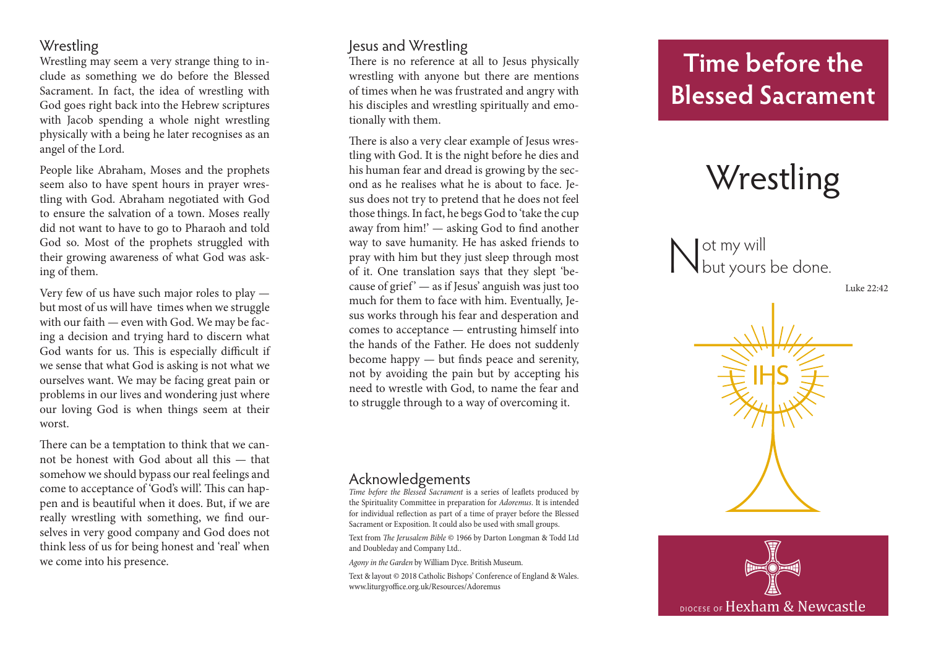# **Wrestling**

Wrestling may seem a very strange thing to in clude as something we do before the Blessed Sacrament. In fact, the idea of wrestling with God goes right back into the Hebrew scriptures with Jacob spending a whole night wrestling physically with a being he later recognises as an angel of the Lord.

People like Abraham, Moses and the prophets seem also to have spent hours in prayer wres tling with God. Abraham negotiated with God to ensure the salvation of a town. Moses really did not want to have to go to Pharaoh and told God so. Most of the prophets struggled with their growing awareness of what God was ask ing of them.

Very few of us have such major roles to play but most of us will have times when we struggle with our faith — even with God. We may be fac ing a decision and trying hard to discern what God wants for us. This is especially difficult if we sense that what God is asking is not what we ourselves want. We may be facing great pain or problems in our lives and wondering just where our loving God is when things seem at their worst.

There can be a temptation to think that we can not be honest with God about all this — that somehow we should bypass our real feelings and come to acceptance of 'God's will'. This can hap pen and is beautiful when it does. But, if we are really wrestling with something, we find our selves in very good company and God does not think less of us for being honest and 'real' when we come into his presence.

# Jesus and Wrestling

There is no reference at all to Jesus physically wrestling with anyone but there are mentions of times when he was frustrated and angry with his disciples and wrestling spiritually and emo tionally with them.

There is also a very clear example of Jesus wres tling with God. It is the night before he dies and his human fear and dread is growing by the sec ond as he realises what he is about to face. Je sus does not try to pretend that he does not feel those things. In fact, he begs God to 'take the cup away from him!' — asking God to find another way to save humanity. He has asked friends to pray with him but they just sleep through most of it. One translation says that they slept 'be cause of grief  $-$  as if Jesus' anguish was just too much for them to face with him. Eventually, Je sus works through his fear and desperation and comes to acceptance — entrusting himself into the hands of the Father. He does not suddenly become happy — but finds peace and serenity, not by avoiding the pain but by accepting his need to wrestle with God, to name the fear and to struggle through to a way of overcoming it.

### Acknowledgements

*Time before the Blessed Sacrament* is a series of leaflets produced by the Spirituality Committee in preparation for *Adoremus*. It is intended for individual reflection as part of a time of prayer before the Blessed Sacrament or Exposition. It could also be used with small groups.

Text from *The Jerusalem Bible* © 1966 by Darton Longman & Todd Ltd and Doubleday and Company Ltd..

*Agony in the Garden* by William Dyce. British Museum.

Text & layout © 2018 Catholic Bishops' Conference of England & Wales. www.liturgyoffice.org.uk/Resources/Adoremus

# **Time before the Blessed Sacrament**

# **Wrestling**

Not my will<br>Nout yours be done.

Luke 22:42